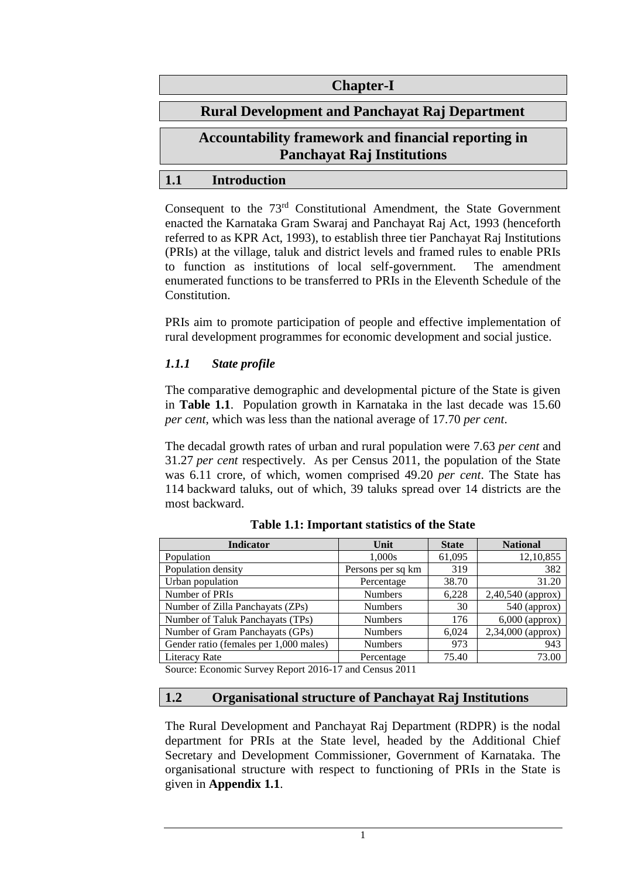## **Rural Development and Panchayat Raj Department**

# **Accountability framework and financial reporting in Panchayat Raj Institutions**

### **1.1 Introduction**

Consequent to the 73rd Constitutional Amendment, the State Government enacted the Karnataka Gram Swaraj and Panchayat Raj Act, 1993 (henceforth referred to as KPR Act, 1993), to establish three tier Panchayat Raj Institutions (PRIs) at the village, taluk and district levels and framed rules to enable PRIs to function as institutions of local self-government. The amendment enumerated functions to be transferred to PRIs in the Eleventh Schedule of the Constitution.

PRIs aim to promote participation of people and effective implementation of rural development programmes for economic development and social justice.

## *1.1.1 State profile*

The comparative demographic and developmental picture of the State is given in **Table 1.1**. Population growth in Karnataka in the last decade was 15.60 *per cent*, which was less than the national average of 17.70 *per cent*.

The decadal growth rates of urban and rural population were 7.63 *per cent* and 31.27 *per cent* respectively. As per Census 2011, the population of the State was 6.11 crore, of which, women comprised 49.20 *per cent*. The State has 114 backward taluks, out of which, 39 taluks spread over 14 districts are the most backward.

| <b>Indicator</b>                       | Unit              | <b>State</b> | <b>National</b>   |
|----------------------------------------|-------------------|--------------|-------------------|
| Population                             | 1,000s            | 61,095       | 12, 10, 855       |
| Population density                     | Persons per sq km | 319          | 382               |
| Urban population                       | Percentage        | 38.70        | 31.20             |
| Number of PRIs                         | <b>Numbers</b>    | 6,228        | 2,40,540 (approx) |
| Number of Zilla Panchayats (ZPs)       | <b>Numbers</b>    | 30           | $540$ (approx)    |
| Number of Taluk Panchayats (TPs)       | <b>Numbers</b>    | 176          | $6,000$ (approx)  |
| Number of Gram Panchayats (GPs)        | <b>Numbers</b>    | 6.024        | 2,34,000 (approx) |
| Gender ratio (females per 1,000 males) | <b>Numbers</b>    | 973          | 943               |
| <b>Literacy Rate</b>                   | Percentage        | 75.40        | 73.00             |

**Table 1.1: Important statistics of the State**

Source: Economic Survey Report 2016-17 and Census 2011

### **1.2 Organisational structure of Panchayat Raj Institutions**

The Rural Development and Panchayat Raj Department (RDPR) is the nodal department for PRIs at the State level, headed by the Additional Chief Secretary and Development Commissioner, Government of Karnataka. The organisational structure with respect to functioning of PRIs in the State is given in **Appendix 1.1**.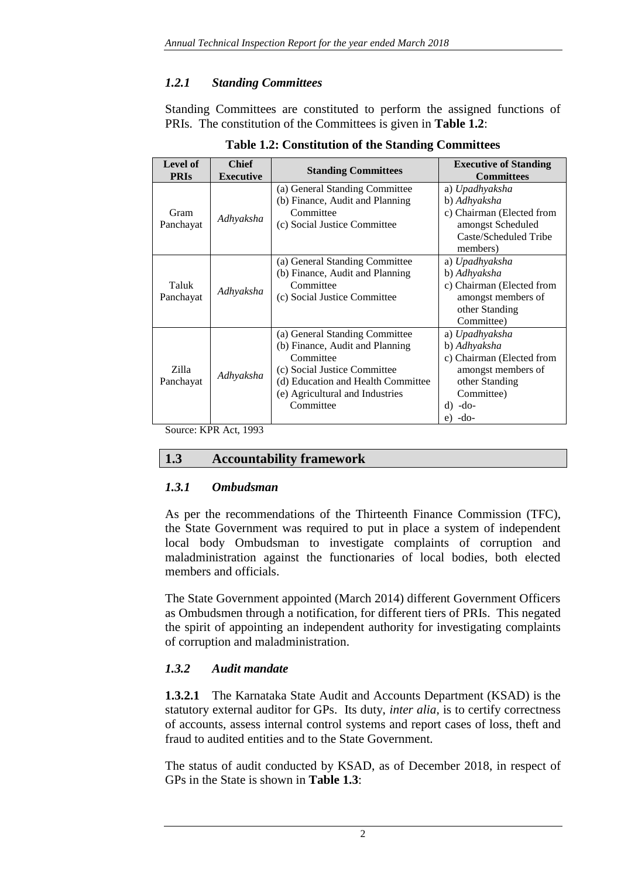# *1.2.1 Standing Committees*

Standing Committees are constituted to perform the assigned functions of PRIs. The constitution of the Committees is given in **Table 1.2**:

| Level of<br><b>PRIs</b> | <b>Chief</b><br><b>Executive</b> | <b>Standing Committees</b>                                                                                                                                                                           | <b>Executive of Standing</b><br><b>Committees</b>                                                                                       |
|-------------------------|----------------------------------|------------------------------------------------------------------------------------------------------------------------------------------------------------------------------------------------------|-----------------------------------------------------------------------------------------------------------------------------------------|
| Gram<br>Panchayat       | Adhyaksha                        | (a) General Standing Committee<br>(b) Finance, Audit and Planning<br>Committee<br>(c) Social Justice Committee                                                                                       | a) Upadhyaksha<br>b) Adhyaksha<br>c) Chairman (Elected from<br>amongst Scheduled<br>Caste/Scheduled Tribe<br>members)                   |
| Taluk<br>Panchayat      | Adhyaksha                        | (a) General Standing Committee<br>(b) Finance, Audit and Planning<br>Committee<br>(c) Social Justice Committee                                                                                       | a) Upadhyaksha<br>b) Adhyaksha<br>c) Chairman (Elected from<br>amongst members of<br>other Standing<br>Committee)                       |
| Zilla<br>Panchayat      | Adhyaksha                        | (a) General Standing Committee<br>(b) Finance, Audit and Planning<br>Committee<br>(c) Social Justice Committee<br>(d) Education and Health Committee<br>(e) Agricultural and Industries<br>Committee | a) Upadhyaksha<br>b) Adhyaksha<br>c) Chairman (Elected from<br>amongst members of<br>other Standing<br>Committee)<br>-do-<br>d)<br>-do- |

**Table 1.2: Constitution of the Standing Committees**

Source: KPR Act, 1993

## **1.3 Accountability framework**

### *1.3.1 Ombudsman*

As per the recommendations of the Thirteenth Finance Commission (TFC), the State Government was required to put in place a system of independent local body Ombudsman to investigate complaints of corruption and maladministration against the functionaries of local bodies, both elected members and officials.

The State Government appointed (March 2014) different Government Officers as Ombudsmen through a notification, for different tiers of PRIs. This negated the spirit of appointing an independent authority for investigating complaints of corruption and maladministration.

## *1.3.2 Audit mandate*

**1.3.2.1** The Karnataka State Audit and Accounts Department (KSAD) is the statutory external auditor for GPs. Its duty, *inter alia,* is to certify correctness of accounts, assess internal control systems and report cases of loss, theft and fraud to audited entities and to the State Government.

The status of audit conducted by KSAD, as of December 2018, in respect of GPs in the State is shown in **Table 1.3**: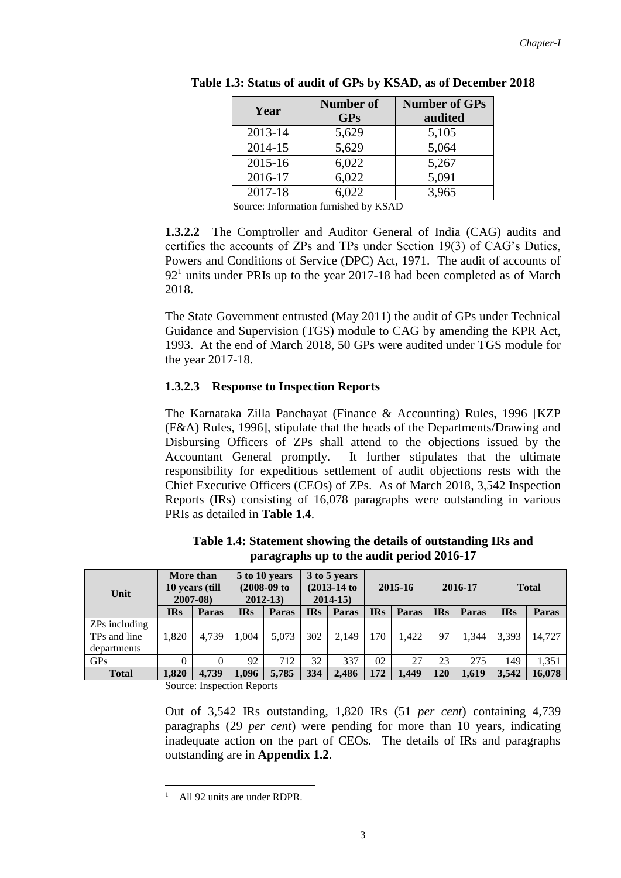|       | audited    |
|-------|------------|
| 5,629 | 5,105      |
| 5,629 | 5,064      |
| 6,022 | 5,267      |
| 6,022 | 5,091      |
| 6,022 | 3,965      |
|       | <b>GPs</b> |

**Table 1.3: Status of audit of GPs by KSAD, as of December 2018**

Source: Information furnished by KSAD

**1.3.2.2** The Comptroller and Auditor General of India (CAG) audits and certifies the accounts of ZPs and TPs under Section 19(3) of CAG's Duties, Powers and Conditions of Service (DPC) Act, 1971. The audit of accounts of  $92<sup>1</sup>$  units under PRIs up to the year 2017-18 had been completed as of March 2018.

The State Government entrusted (May 2011) the audit of GPs under Technical Guidance and Supervision (TGS) module to CAG by amending the KPR Act, 1993. At the end of March 2018, 50 GPs were audited under TGS module for the year 2017-18.

### **1.3.2.3 Response to Inspection Reports**

The Karnataka Zilla Panchayat (Finance & Accounting) Rules, 1996 [KZP (F&A) Rules, 1996], stipulate that the heads of the Departments/Drawing and Disbursing Officers of ZPs shall attend to the objections issued by the Accountant General promptly. It further stipulates that the ultimate responsibility for expeditious settlement of audit objections rests with the Chief Executive Officers (CEOs) of ZPs. As of March 2018, 3,542 Inspection Reports (IRs) consisting of 16,078 paragraphs were outstanding in various PRIs as detailed in **Table 1.4**.

| Unit                                         | More than<br>10 years (till<br>$2007 - 08$ |          | 5 to 10 years<br>$(2008-09)$ to<br>$2012 - 13$ |       | 3 to 5 years<br>$(2013-14)$ to<br>$2014 - 15$ |       | 2015-16    |       | 2016-17    |       | <b>Total</b> |        |
|----------------------------------------------|--------------------------------------------|----------|------------------------------------------------|-------|-----------------------------------------------|-------|------------|-------|------------|-------|--------------|--------|
|                                              | <b>IRs</b>                                 | Paras    | <b>IRs</b>                                     | Paras | <b>IRs</b>                                    | Paras | <b>IRs</b> | Paras | <b>IRs</b> | Paras | <b>IRs</b>   | Paras  |
| ZPs including<br>TPs and line<br>departments | 1.820                                      | 4.739    | 1.004                                          | 5.073 | 302                                           | 2.149 | 170        | 1.422 | 97         | 1.344 | 3,393        | 14.727 |
| <b>GPs</b>                                   |                                            | $\Omega$ | 92                                             | 712   | 32                                            | 337   | 02         | 27    | 23         | 275   | 149          | 1,351  |
| <b>Total</b>                                 | 1,820                                      | 4,739    | 1.096                                          | 5.785 | 334                                           | 2.486 | 172        | 1.449 | 120        | 1.619 | 3,542        | 16,078 |

**Table 1.4: Statement showing the details of outstanding IRs and paragraphs up to the audit period 2016-17**

Source: Inspection Reports

Out of 3,542 IRs outstanding, 1,820 IRs (51 *per cent*) containing 4,739 paragraphs (29 *per cent*) were pending for more than 10 years, indicating inadequate action on the part of CEOs. The details of IRs and paragraphs outstanding are in **Appendix 1.2**.

 $\overline{\phantom{a}}$ All 92 units are under RDPR.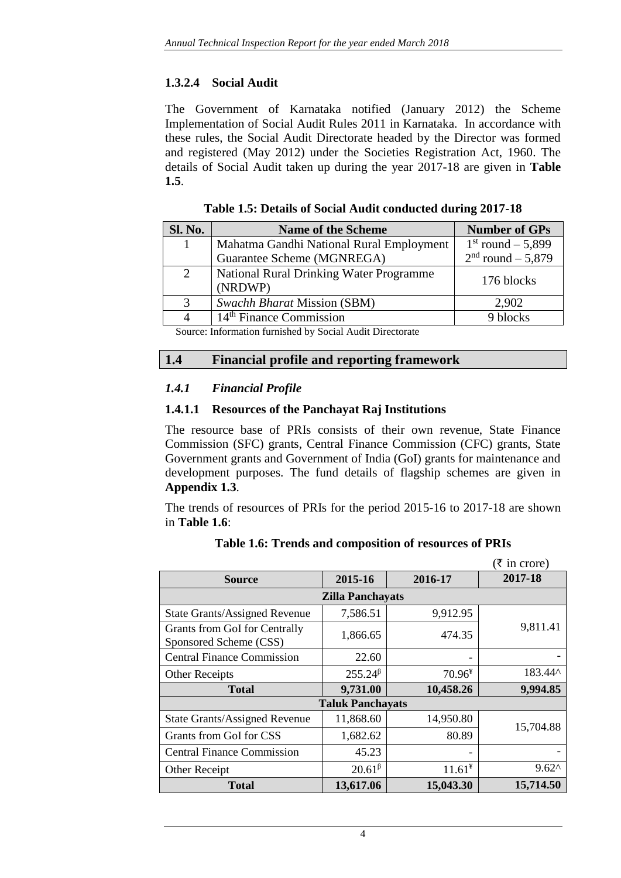# **1.3.2.4 Social Audit**

The Government of Karnataka notified (January 2012) the Scheme Implementation of Social Audit Rules 2011 in Karnataka. In accordance with these rules, the Social Audit Directorate headed by the Director was formed and registered (May 2012) under the Societies Registration Act, 1960. The details of Social Audit taken up during the year 2017-18 are given in **Table 1.5**.

| Sl. No. | <b>Name of the Scheme</b>                               | <b>Number of GPs</b>  |  |  |  |  |  |
|---------|---------------------------------------------------------|-----------------------|--|--|--|--|--|
|         | Mahatma Gandhi National Rural Employment                | $1st$ round $- 5,899$ |  |  |  |  |  |
|         | Guarantee Scheme (MGNREGA)                              | $2nd$ round $-5,879$  |  |  |  |  |  |
| 2       | National Rural Drinking Water Programme<br>(NRDWP)      | 176 blocks            |  |  |  |  |  |
| 3       | <b>Swachh Bharat Mission (SBM)</b>                      | 2,902                 |  |  |  |  |  |
| 4       | $14th$ Finance Commission                               | 9 blocks              |  |  |  |  |  |
|         | Course Information funished by Cooled Andit Directorsts |                       |  |  |  |  |  |

**Table 1.5: Details of Social Audit conducted during 2017-18**

Source: Information furnished by Social Audit Directorate

### **1.4 Financial profile and reporting framework**

### *1.4.1 Financial Profile*

### **1.4.1.1 Resources of the Panchayat Raj Institutions**

The resource base of PRIs consists of their own revenue, State Finance Commission (SFC) grants, Central Finance Commission (CFC) grants, State Government grants and Government of India (GoI) grants for maintenance and development purposes. The fund details of flagship schemes are given in **Appendix 1.3**.

The trends of resources of PRIs for the period 2015-16 to 2017-18 are shown in **Table 1.6**:

|                                                         |                         |           | (₹ in crore)   |  |  |  |  |
|---------------------------------------------------------|-------------------------|-----------|----------------|--|--|--|--|
| <b>Source</b>                                           | 2015-16                 | 2016-17   | 2017-18        |  |  |  |  |
| <b>Zilla Panchayats</b>                                 |                         |           |                |  |  |  |  |
| <b>State Grants/Assigned Revenue</b>                    | 7,586.51                | 9,912.95  |                |  |  |  |  |
| Grants from GoI for Centrally<br>Sponsored Scheme (CSS) | 1,866.65                | 474.35    | 9,811.41       |  |  |  |  |
| <b>Central Finance Commission</b>                       | 22.60                   |           |                |  |  |  |  |
| <b>Other Receipts</b>                                   | $255.24^{\beta}$        | $70.96*$  | 183.44^        |  |  |  |  |
| <b>Total</b>                                            | 9,731.00                | 10,458.26 | 9,994.85       |  |  |  |  |
|                                                         | <b>Taluk Panchayats</b> |           |                |  |  |  |  |
| <b>State Grants/Assigned Revenue</b>                    | 11,868.60               | 14,950.80 | 15,704.88      |  |  |  |  |
| Grants from GoI for CSS                                 | 1,682.62                | 80.89     |                |  |  |  |  |
| <b>Central Finance Commission</b>                       | 45.23                   |           |                |  |  |  |  |
| Other Receipt                                           | $20.61^{\beta}$         | $11.61^*$ | $9.62^{\circ}$ |  |  |  |  |
| <b>Total</b>                                            | 13,617.06               | 15,043.30 | 15,714.50      |  |  |  |  |

|  |  |  | Table 1.6: Trends and composition of resources of PRIs |
|--|--|--|--------------------------------------------------------|
|--|--|--|--------------------------------------------------------|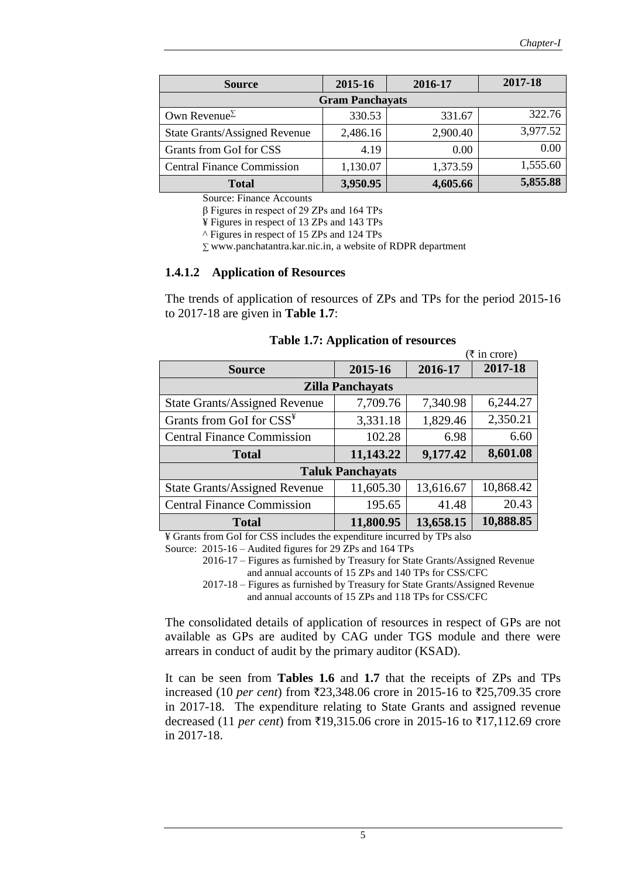| <b>Source</b>                        | 2015-16  | 2016-17  | 2017-18  |  |  |  |  |  |
|--------------------------------------|----------|----------|----------|--|--|--|--|--|
| <b>Gram Panchayats</b>               |          |          |          |  |  |  |  |  |
| Own Revenue $\Sigma$                 | 330.53   | 331.67   | 322.76   |  |  |  |  |  |
| <b>State Grants/Assigned Revenue</b> | 2,486.16 | 2,900.40 | 3,977.52 |  |  |  |  |  |
| Grants from GoI for CSS              | 4.19     | 0.00     | 0.00     |  |  |  |  |  |
| <b>Central Finance Commission</b>    | 1,130.07 | 1,373.59 | 1,555.60 |  |  |  |  |  |
| <b>Total</b>                         | 3,950.95 | 4,605.66 | 5,855.88 |  |  |  |  |  |

Source: Finance Accounts

β Figures in respect of 29 ZPs and 164 TPs

¥ Figures in respect of 13 ZPs and 143 TPs

^ Figures in respect of 15 ZPs and 124 TPs

∑ [www.panchatantra.kar.nic.in,](http://www.panchatantra.kar.nic.in/) a website of RDPR department

#### **1.4.1.2 Application of Resources**

The trends of application of resources of ZPs and TPs for the period 2015-16 to 2017-18 are given in **Table 1.7**:

| <b>Table 1.7: Application of resources</b> |
|--------------------------------------------|
|--------------------------------------------|

|                                      |                         |           | $(\bar{\tau}$ in crore) |  |  |  |
|--------------------------------------|-------------------------|-----------|-------------------------|--|--|--|
| <b>Source</b>                        | 2015-16                 | 2016-17   | 2017-18                 |  |  |  |
| <b>Zilla Panchayats</b>              |                         |           |                         |  |  |  |
| <b>State Grants/Assigned Revenue</b> | 7,709.76                | 7,340.98  | 6,244.27                |  |  |  |
| Grants from GoI for CSS <sup>¥</sup> | 3,331.18                | 1,829.46  | 2,350.21                |  |  |  |
| <b>Central Finance Commission</b>    | 102.28                  | 6.98      | 6.60                    |  |  |  |
| <b>Total</b>                         | 11,143.22               | 9,177.42  | 8,601.08                |  |  |  |
|                                      | <b>Taluk Panchayats</b> |           |                         |  |  |  |
| <b>State Grants/Assigned Revenue</b> | 11,605.30               | 13,616.67 | 10,868.42               |  |  |  |
| <b>Central Finance Commission</b>    | 195.65                  | 41.48     | 20.43                   |  |  |  |
| <b>Total</b>                         | 11,800.95               | 13,658.15 | 10,888.85               |  |  |  |

¥ Grants from GoI for CSS includes the expenditure incurred by TPs also

Source: 2015-16 – Audited figures for 29 ZPs and 164 TPs

2016-17 – Figures as furnished by Treasury for State Grants/Assigned Revenue and annual accounts of 15 ZPs and 140 TPs for CSS/CFC

2017-18 – Figures as furnished by Treasury for State Grants/Assigned Revenue and annual accounts of 15 ZPs and 118 TPs for CSS/CFC

The consolidated details of application of resources in respect of GPs are not available as GPs are audited by CAG under TGS module and there were arrears in conduct of audit by the primary auditor (KSAD).

It can be seen from **Tables 1.6** and **1.7** that the receipts of ZPs and TPs increased (10 *per cent*) from  $\overline{2}3,348.06$  crore in 2015-16 to  $\overline{2}25,709.35$  crore in 2017-18. The expenditure relating to State Grants and assigned revenue decreased (11 *per cent*) from ₹19,315.06 crore in 2015-16 to ₹17,112.69 crore in 2017-18.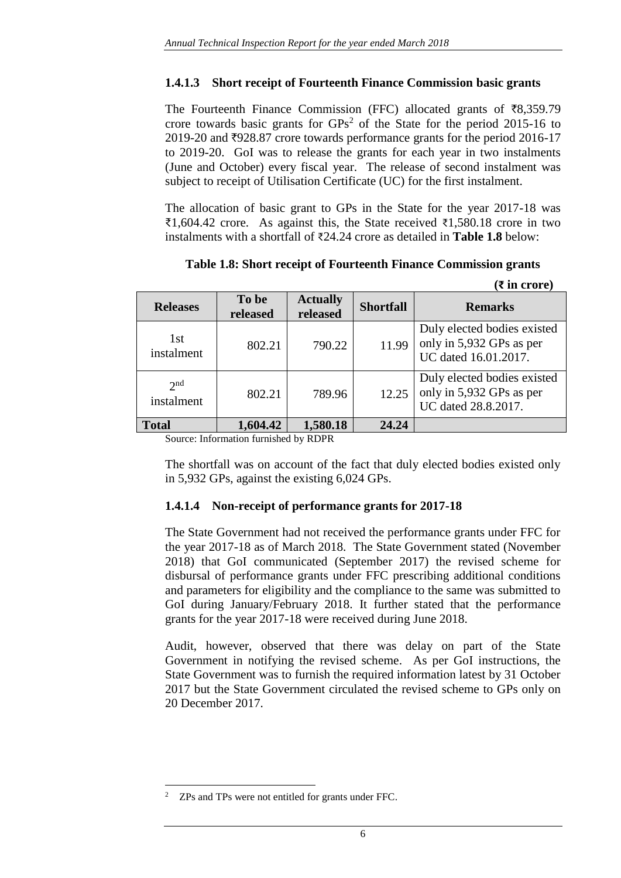### **1.4.1.3 Short receipt of Fourteenth Finance Commission basic grants**

The Fourteenth Finance Commission (FFC) allocated grants of  $\overline{88,359.79}$ crore towards basic grants for  $GPs<sup>2</sup>$  of the State for the period 2015-16 to 2019-20 and  $\overline{5}928.87$  crore towards performance grants for the period 2016-17 to 2019-20. GoI was to release the grants for each year in two instalments (June and October) every fiscal year. The release of second instalment was subject to receipt of Utilisation Certificate (UC) for the first instalment.

The allocation of basic grant to GPs in the State for the year 2017-18 was  $\text{\textsterling}1,604.42$  crore. As against this, the State received  $\text{\textsterling}1,580.18$  crore in two instalments with a shortfall of ₹24.24 crore as detailed in **Table 1.8** below:

|                               |                   |                             |                  | $(\bar{z}$ in crore)                                                            |
|-------------------------------|-------------------|-----------------------------|------------------|---------------------------------------------------------------------------------|
| <b>Releases</b>               | To be<br>released | <b>Actually</b><br>released | <b>Shortfall</b> | <b>Remarks</b>                                                                  |
| 1st<br>instalment             | 802.21            | 790.22                      | 11.99            | Duly elected bodies existed<br>only in 5,932 GPs as per<br>UC dated 16.01.2017. |
| 2 <sup>nd</sup><br>instalment | 802.21            | 789.96                      | 12.25            | Duly elected bodies existed<br>only in 5,932 GPs as per<br>UC dated 28.8.2017.  |
| <b>Total</b>                  | 1,604.42          | 1,580.18                    | 24.24            |                                                                                 |

**Table 1.8: Short receipt of Fourteenth Finance Commission grants**

Source: Information furnished by RDPR

The shortfall was on account of the fact that duly elected bodies existed only in 5,932 GPs, against the existing 6,024 GPs.

### **1.4.1.4 Non-receipt of performance grants for 2017-18**

The State Government had not received the performance grants under FFC for the year 2017-18 as of March 2018. The State Government stated (November 2018) that GoI communicated (September 2017) the revised scheme for disbursal of performance grants under FFC prescribing additional conditions and parameters for eligibility and the compliance to the same was submitted to GoI during January/February 2018. It further stated that the performance grants for the year 2017-18 were received during June 2018.

Audit, however, observed that there was delay on part of the State Government in notifying the revised scheme. As per GoI instructions, the State Government was to furnish the required information latest by 31 October 2017 but the State Government circulated the revised scheme to GPs only on 20 December 2017.

 $\overline{\phantom{a}}$ 

<sup>2</sup> ZPs and TPs were not entitled for grants under FFC.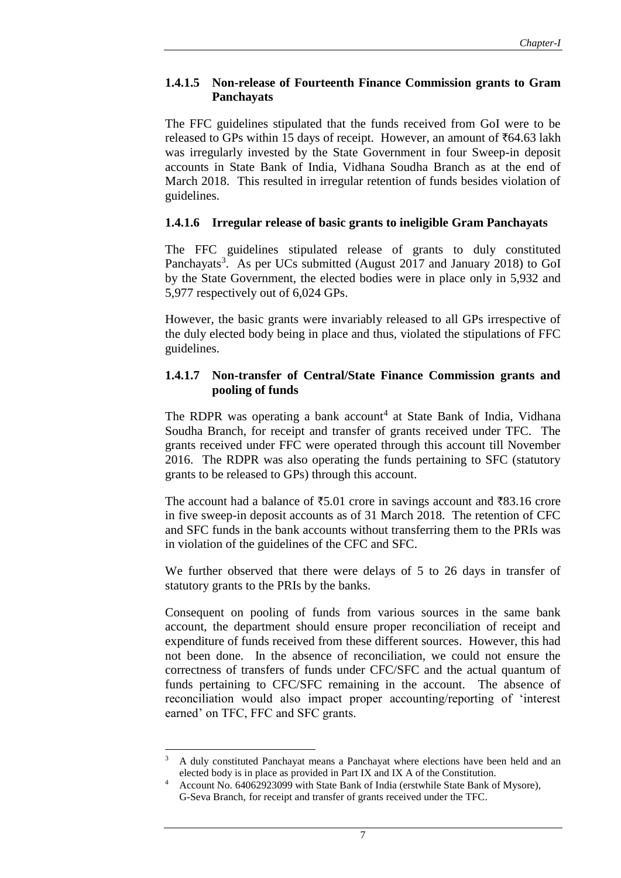### **1.4.1.5 Non-release of Fourteenth Finance Commission grants to Gram Panchayats**

The FFC guidelines stipulated that the funds received from GoI were to be released to GPs within 15 days of receipt. However, an amount of  $\bar{\tau}64.63$  lakh was irregularly invested by the State Government in four Sweep-in deposit accounts in State Bank of India, Vidhana Soudha Branch as at the end of March 2018. This resulted in irregular retention of funds besides violation of guidelines.

### **1.4.1.6 Irregular release of basic grants to ineligible Gram Panchayats**

The FFC guidelines stipulated release of grants to duly constituted Panchayats<sup>3</sup>. As per UCs submitted (August 2017 and January 2018) to GoI by the State Government, the elected bodies were in place only in 5,932 and 5,977 respectively out of 6,024 GPs.

However, the basic grants were invariably released to all GPs irrespective of the duly elected body being in place and thus, violated the stipulations of FFC guidelines.

### **1.4.1.7 Non-transfer of Central/State Finance Commission grants and pooling of funds**

The RDPR was operating a bank account<sup>4</sup> at State Bank of India, Vidhana Soudha Branch, for receipt and transfer of grants received under TFC. The grants received under FFC were operated through this account till November 2016. The RDPR was also operating the funds pertaining to SFC (statutory grants to be released to GPs) through this account.

The account had a balance of  $\text{\textsterling}5.01$  crore in savings account and  $\text{\textsterling}83.16$  crore in five sweep-in deposit accounts as of 31 March 2018. The retention of CFC and SFC funds in the bank accounts without transferring them to the PRIs was in violation of the guidelines of the CFC and SFC.

We further observed that there were delays of 5 to 26 days in transfer of statutory grants to the PRIs by the banks.

Consequent on pooling of funds from various sources in the same bank account, the department should ensure proper reconciliation of receipt and expenditure of funds received from these different sources. However, this had not been done. In the absence of reconciliation, we could not ensure the correctness of transfers of funds under CFC/SFC and the actual quantum of funds pertaining to CFC/SFC remaining in the account. The absence of reconciliation would also impact proper accounting/reporting of 'interest earned' on TFC, FFC and SFC grants.

 $\overline{3}$ <sup>3</sup> A duly constituted Panchayat means a Panchayat where elections have been held and an elected body is in place as provided in Part IX and IX A of the Constitution.

<sup>4</sup> Account No. 64062923099 with State Bank of India (erstwhile State Bank of Mysore), G-Seva Branch, for receipt and transfer of grants received under the TFC.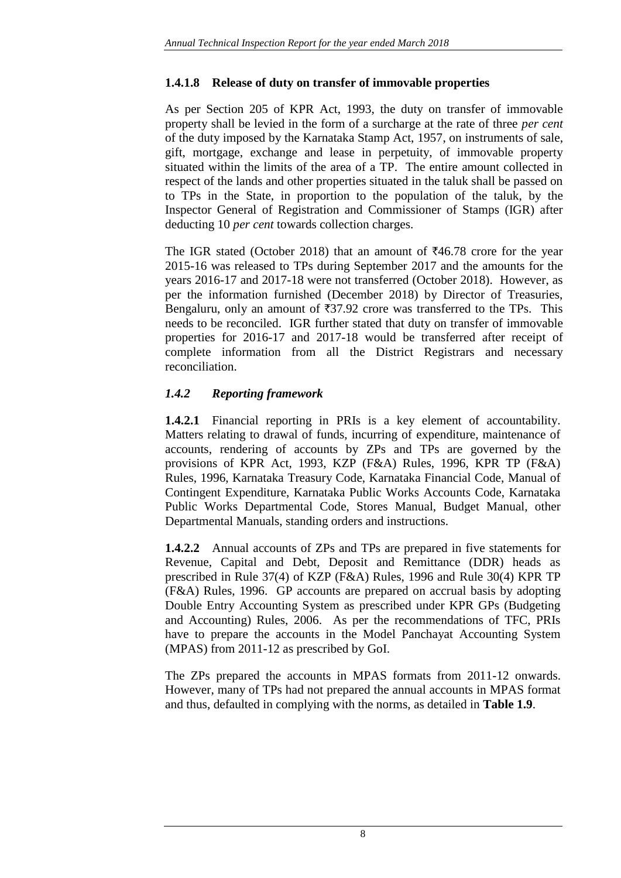## **1.4.1.8 Release of duty on transfer of immovable properties**

As per Section 205 of KPR Act, 1993, the duty on transfer of immovable property shall be levied in the form of a surcharge at the rate of three *per cent* of the duty imposed by the Karnataka Stamp Act, 1957, on instruments of sale, gift, mortgage, exchange and lease in perpetuity, of immovable property situated within the limits of the area of a TP. The entire amount collected in respect of the lands and other properties situated in the taluk shall be passed on to TPs in the State, in proportion to the population of the taluk, by the Inspector General of Registration and Commissioner of Stamps (IGR) after deducting 10 *per cent* towards collection charges.

The IGR stated (October 2018) that an amount of  $\overline{4}46.78$  crore for the year 2015-16 was released to TPs during September 2017 and the amounts for the years 2016-17 and 2017-18 were not transferred (October 2018). However, as per the information furnished (December 2018) by Director of Treasuries, Bengaluru, only an amount of  $\overline{37.92}$  crore was transferred to the TPs. This needs to be reconciled. IGR further stated that duty on transfer of immovable properties for 2016-17 and 2017-18 would be transferred after receipt of complete information from all the District Registrars and necessary reconciliation.

## *1.4.2 Reporting framework*

**1.4.2.1** Financial reporting in PRIs is a key element of accountability. Matters relating to drawal of funds, incurring of expenditure, maintenance of accounts, rendering of accounts by ZPs and TPs are governed by the provisions of KPR Act, 1993, KZP (F&A) Rules, 1996, KPR TP (F&A) Rules, 1996, Karnataka Treasury Code, Karnataka Financial Code, Manual of Contingent Expenditure, Karnataka Public Works Accounts Code, Karnataka Public Works Departmental Code, Stores Manual, Budget Manual, other Departmental Manuals, standing orders and instructions.

**1.4.2.2** Annual accounts of ZPs and TPs are prepared in five statements for Revenue, Capital and Debt, Deposit and Remittance (DDR) heads as prescribed in Rule 37(4) of KZP (F&A) Rules, 1996 and Rule 30(4) KPR TP (F&A) Rules, 1996. GP accounts are prepared on accrual basis by adopting Double Entry Accounting System as prescribed under KPR GPs (Budgeting and Accounting) Rules, 2006. As per the recommendations of TFC, PRIs have to prepare the accounts in the Model Panchayat Accounting System (MPAS) from 2011-12 as prescribed by GoI.

The ZPs prepared the accounts in MPAS formats from 2011-12 onwards. However, many of TPs had not prepared the annual accounts in MPAS format and thus, defaulted in complying with the norms, as detailed in **Table 1.9**.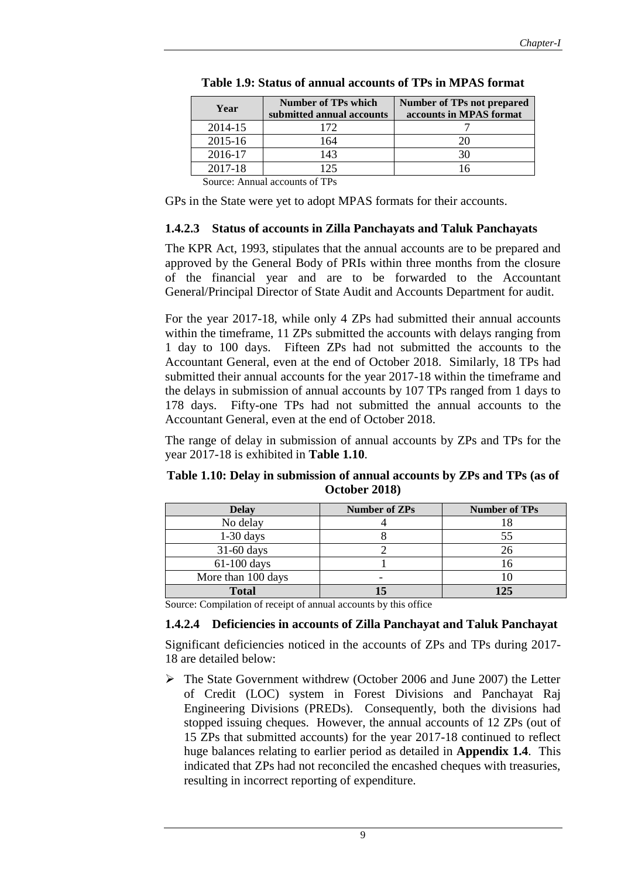| Year    | <b>Number of TPs which</b><br>submitted annual accounts | <b>Number of TPs not prepared</b><br>accounts in MPAS format |
|---------|---------------------------------------------------------|--------------------------------------------------------------|
| 2014-15 | 172                                                     |                                                              |
| 2015-16 | 164                                                     |                                                              |
| 2016-17 | 143                                                     |                                                              |
| 2017-18 | 125                                                     |                                                              |
|         | $\sim$ $-$                                              |                                                              |

| Table 1.9: Status of annual accounts of TPs in MPAS format |  |  |  |
|------------------------------------------------------------|--|--|--|
|------------------------------------------------------------|--|--|--|

Source: Annual accounts of TPs

GPs in the State were yet to adopt MPAS formats for their accounts.

#### **1.4.2.3 Status of accounts in Zilla Panchayats and Taluk Panchayats**

The KPR Act, 1993, stipulates that the annual accounts are to be prepared and approved by the General Body of PRIs within three months from the closure of the financial year and are to be forwarded to the Accountant General/Principal Director of State Audit and Accounts Department for audit.

For the year 2017-18, while only 4 ZPs had submitted their annual accounts within the timeframe, 11 ZPs submitted the accounts with delays ranging from 1 day to 100 days. Fifteen ZPs had not submitted the accounts to the Accountant General, even at the end of October 2018. Similarly, 18 TPs had submitted their annual accounts for the year 2017-18 within the timeframe and the delays in submission of annual accounts by 107 TPs ranged from 1 days to 178 days. Fifty-one TPs had not submitted the annual accounts to the Accountant General, even at the end of October 2018.

The range of delay in submission of annual accounts by ZPs and TPs for the year 2017-18 is exhibited in **Table 1.10**.

**Table 1.10: Delay in submission of annual accounts by ZPs and TPs (as of October 2018)**

| <b>Delay</b>       | <b>Number of ZPs</b> | <b>Number of TPs</b> |
|--------------------|----------------------|----------------------|
| No delay           |                      | 18                   |
| $1-30$ days        |                      |                      |
| $31-60$ days       |                      | 26                   |
| $61-100$ days      |                      | 16                   |
| More than 100 days |                      |                      |
| <b>Total</b>       |                      | 125                  |

Source: Compilation of receipt of annual accounts by this office

### **1.4.2.4 Deficiencies in accounts of Zilla Panchayat and Taluk Panchayat**

Significant deficiencies noticed in the accounts of ZPs and TPs during 2017- 18 are detailed below:

 The State Government withdrew (October 2006 and June 2007) the Letter of Credit (LOC) system in Forest Divisions and Panchayat Raj Engineering Divisions (PREDs). Consequently, both the divisions had stopped issuing cheques. However, the annual accounts of 12 ZPs (out of 15 ZPs that submitted accounts) for the year 2017-18 continued to reflect huge balances relating to earlier period as detailed in **Appendix 1.4**. This indicated that ZPs had not reconciled the encashed cheques with treasuries, resulting in incorrect reporting of expenditure.